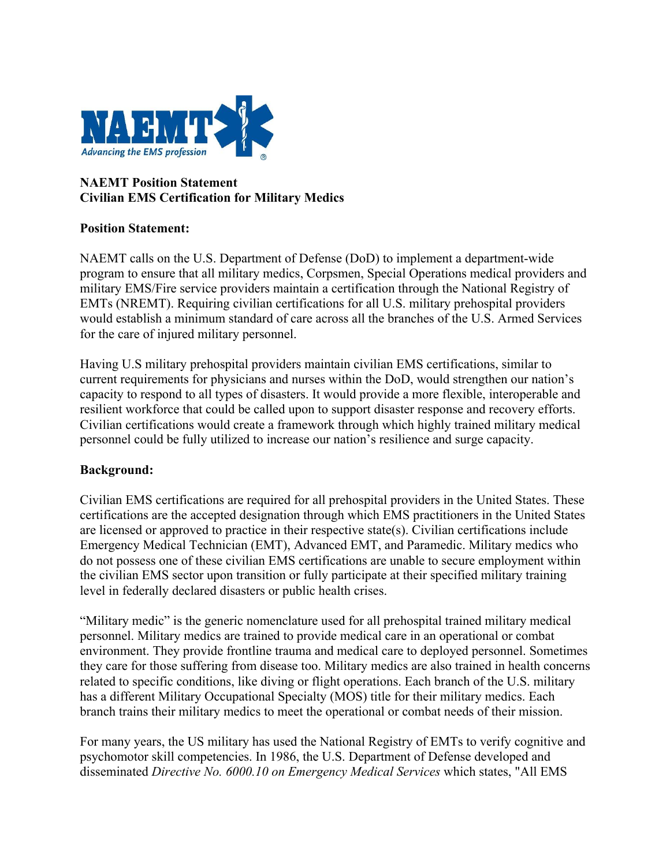

## **NAEMT Position Statement Civilian EMS Certification for Military Medics**

## **Position Statement:**

NAEMT calls on the U.S. Department of Defense (DoD) to implement a department-wide program to ensure that all military medics, Corpsmen, Special Operations medical providers and military EMS/Fire service providers maintain a certification through the National Registry of EMTs (NREMT). Requiring civilian certifications for all U.S. military prehospital providers would establish a minimum standard of care across all the branches of the U.S. Armed Services for the care of injured military personnel.

Having U.S military prehospital providers maintain civilian EMS certifications, similar to current requirements for physicians and nurses within the DoD, would strengthen our nation's capacity to respond to all types of disasters. It would provide a more flexible, interoperable and resilient workforce that could be called upon to support disaster response and recovery efforts. Civilian certifications would create a framework through which highly trained military medical personnel could be fully utilized to increase our nation's resilience and surge capacity.

## **Background:**

Civilian EMS certifications are required for all prehospital providers in the United States. These certifications are the accepted designation through which EMS practitioners in the United States are licensed or approved to practice in their respective state(s). Civilian certifications include Emergency Medical Technician (EMT), Advanced EMT, and Paramedic. Military medics who do not possess one of these civilian EMS certifications are unable to secure employment within the civilian EMS sector upon transition or fully participate at their specified military training level in federally declared disasters or public health crises.

"Military medic" is the generic nomenclature used for all prehospital trained military medical personnel. Military medics are trained to provide medical care in an operational or combat environment. They provide frontline trauma and medical care to deployed personnel. Sometimes they care for those suffering from disease too. Military medics are also trained in health concerns related to specific conditions, like diving or flight operations. Each branch of the U.S. military has a different Military Occupational Specialty (MOS) title for their military medics. Each branch trains their military medics to meet the operational or combat needs of their mission.

For many years, the US military has used the National Registry of EMTs to verify cognitive and psychomotor skill competencies. In 1986, the U.S. Department of Defense developed and disseminated *Directive No. 6000.10 on Emergency Medical Services* which states, "All EMS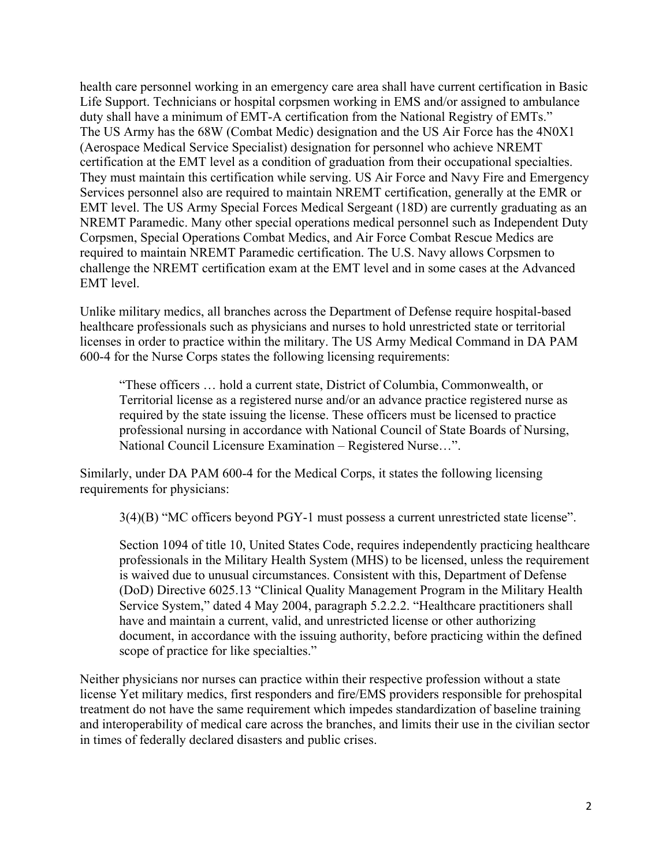health care personnel working in an emergency care area shall have current certification in Basic Life Support. Technicians or hospital corpsmen working in EMS and/or assigned to ambulance duty shall have a minimum of EMT-A certification from the National Registry of EMTs." The US Army has the 68W (Combat Medic) designation and the US Air Force has the 4N0X1 (Aerospace Medical Service Specialist) designation for personnel who achieve NREMT certification at the EMT level as a condition of graduation from their occupational specialties. They must maintain this certification while serving. US Air Force and Navy Fire and Emergency Services personnel also are required to maintain NREMT certification, generally at the EMR or EMT level. The US Army Special Forces Medical Sergeant (18D) are currently graduating as an NREMT Paramedic. Many other special operations medical personnel such as Independent Duty Corpsmen, Special Operations Combat Medics, and Air Force Combat Rescue Medics are required to maintain NREMT Paramedic certification. The U.S. Navy allows Corpsmen to challenge the NREMT certification exam at the EMT level and in some cases at the Advanced EMT level.

Unlike military medics, all branches across the Department of Defense require hospital-based healthcare professionals such as physicians and nurses to hold unrestricted state or territorial licenses in order to practice within the military. The US Army Medical Command in DA PAM 600-4 for the Nurse Corps states the following licensing requirements:

"These officers … hold a current state, District of Columbia, Commonwealth, or Territorial license as a registered nurse and/or an advance practice registered nurse as required by the state issuing the license. These officers must be licensed to practice professional nursing in accordance with National Council of State Boards of Nursing, National Council Licensure Examination – Registered Nurse…".

Similarly, under DA PAM 600-4 for the Medical Corps, it states the following licensing requirements for physicians:

3(4)(B) "MC officers beyond PGY-1 must possess a current unrestricted state license".

Section 1094 of title 10, United States Code, requires independently practicing healthcare professionals in the Military Health System (MHS) to be licensed, unless the requirement is waived due to unusual circumstances. Consistent with this, Department of Defense (DoD) Directive 6025.13 "Clinical Quality Management Program in the Military Health Service System," dated 4 May 2004, paragraph 5.2.2.2. "Healthcare practitioners shall have and maintain a current, valid, and unrestricted license or other authorizing document, in accordance with the issuing authority, before practicing within the defined scope of practice for like specialties."

Neither physicians nor nurses can practice within their respective profession without a state license Yet military medics, first responders and fire/EMS providers responsible for prehospital treatment do not have the same requirement which impedes standardization of baseline training and interoperability of medical care across the branches, and limits their use in the civilian sector in times of federally declared disasters and public crises.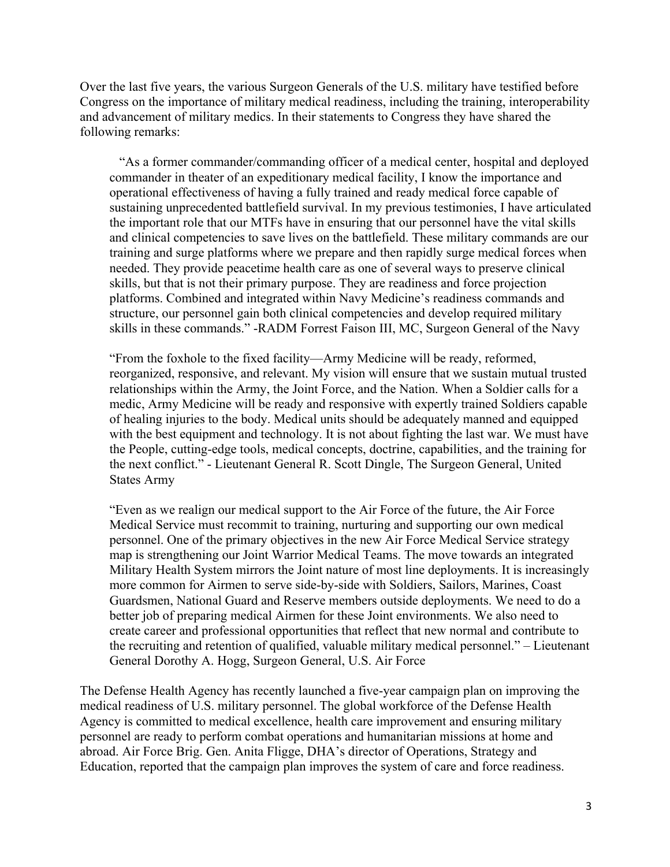Over the last five years, the various Surgeon Generals of the U.S. military have testified before Congress on the importance of military medical readiness, including the training, interoperability and advancement of military medics. In their statements to Congress they have shared the following remarks:

"As a former commander/commanding officer of a medical center, hospital and deployed commander in theater of an expeditionary medical facility, I know the importance and operational effectiveness of having a fully trained and ready medical force capable of sustaining unprecedented battlefield survival. In my previous testimonies, I have articulated the important role that our MTFs have in ensuring that our personnel have the vital skills and clinical competencies to save lives on the battlefield. These military commands are our training and surge platforms where we prepare and then rapidly surge medical forces when needed. They provide peacetime health care as one of several ways to preserve clinical skills, but that is not their primary purpose. They are readiness and force projection platforms. Combined and integrated within Navy Medicine's readiness commands and structure, our personnel gain both clinical competencies and develop required military skills in these commands." -RADM Forrest Faison III, MC, Surgeon General of the Navy

"From the foxhole to the fixed facility—Army Medicine will be ready, reformed, reorganized, responsive, and relevant. My vision will ensure that we sustain mutual trusted relationships within the Army, the Joint Force, and the Nation. When a Soldier calls for a medic, Army Medicine will be ready and responsive with expertly trained Soldiers capable of healing injuries to the body. Medical units should be adequately manned and equipped with the best equipment and technology. It is not about fighting the last war. We must have the People, cutting-edge tools, medical concepts, doctrine, capabilities, and the training for the next conflict." - Lieutenant General R. Scott Dingle, The Surgeon General, United States Army

"Even as we realign our medical support to the Air Force of the future, the Air Force Medical Service must recommit to training, nurturing and supporting our own medical personnel. One of the primary objectives in the new Air Force Medical Service strategy map is strengthening our Joint Warrior Medical Teams. The move towards an integrated Military Health System mirrors the Joint nature of most line deployments. It is increasingly more common for Airmen to serve side-by-side with Soldiers, Sailors, Marines, Coast Guardsmen, National Guard and Reserve members outside deployments. We need to do a better job of preparing medical Airmen for these Joint environments. We also need to create career and professional opportunities that reflect that new normal and contribute to the recruiting and retention of qualified, valuable military medical personnel." – Lieutenant General Dorothy A. Hogg, Surgeon General, U.S. Air Force

The Defense Health Agency has recently launched a five-year campaign plan on improving the medical readiness of U.S. military personnel. The global workforce of the Defense Health Agency is committed to medical excellence, health care improvement and ensuring military personnel are ready to perform combat operations and humanitarian missions at home and abroad. Air Force Brig. Gen. Anita Fligge, DHA's director of Operations, Strategy and Education, reported that the campaign plan improves the system of care and force readiness.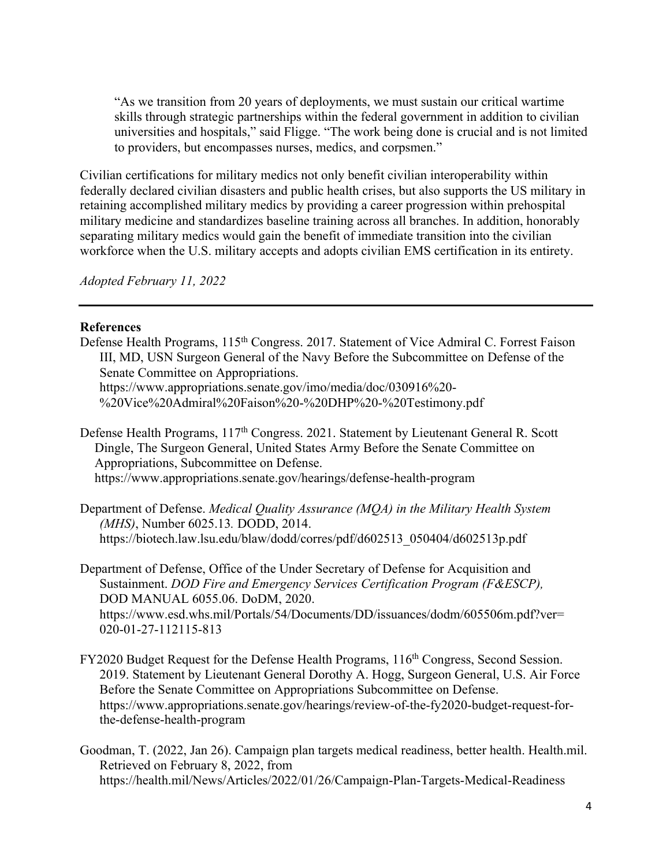"As we transition from 20 years of deployments, we must sustain our critical wartime skills through strategic partnerships within the federal government in addition to civilian universities and hospitals," said Fligge. "The work being done is crucial and is not limited to providers, but encompasses nurses, medics, and corpsmen."

Civilian certifications for military medics not only benefit civilian interoperability within federally declared civilian disasters and public health crises, but also supports the US military in retaining accomplished military medics by providing a career progression within prehospital military medicine and standardizes baseline training across all branches. In addition, honorably separating military medics would gain the benefit of immediate transition into the civilian workforce when the U.S. military accepts and adopts civilian EMS certification in its entirety.

*Adopted February 11, 2022*

## **References**

Defense Health Programs, 115<sup>th</sup> Congress. 2017. Statement of Vice Admiral C. Forrest Faison III, MD, USN Surgeon General of the Navy Before the Subcommittee on Defense of the Senate Committee on Appropriations. https://www.appropriations.senate.gov/imo/media/doc/030916%20- %20Vice%20Admiral%20Faison%20-%20DHP%20-%20Testimony.pdf

Defense Health Programs, 117<sup>th</sup> Congress. 2021. Statement by Lieutenant General R. Scott Dingle, The Surgeon General, United States Army Before the Senate Committee on Appropriations, Subcommittee on Defense. https://www.appropriations.senate.gov/hearings/defense-health-program

Department of Defense. *Medical Quality Assurance (MQA) in the Military Health System (MHS)*, Number 6025.13*.* DODD, 2014. https://biotech.law.lsu.edu/blaw/dodd/corres/pdf/d602513\_050404/d602513p.pdf

Department of Defense, Office of the Under Secretary of Defense for Acquisition and Sustainment. *DOD Fire and Emergency Services Certification Program (F&ESCP),* DOD MANUAL 6055.06. DoDM, 2020. https://www.esd.whs.mil/Portals/54/Documents/DD/issuances/dodm/605506m.pdf?ver= 020-01-27-112115-813

FY2020 Budget Request for the Defense Health Programs, 116<sup>th</sup> Congress, Second Session. 2019. Statement by Lieutenant General Dorothy A. Hogg, Surgeon General, U.S. Air Force Before the Senate Committee on Appropriations Subcommittee on Defense. https://www.appropriations.senate.gov/hearings/review-of-the-fy2020-budget-request-forthe-defense-health-program

Goodman, T. (2022, Jan 26). Campaign plan targets medical readiness, better health. Health.mil. Retrieved on February 8, 2022, from https://health.mil/News/Articles/2022/01/26/Campaign-Plan-Targets-Medical-Readiness